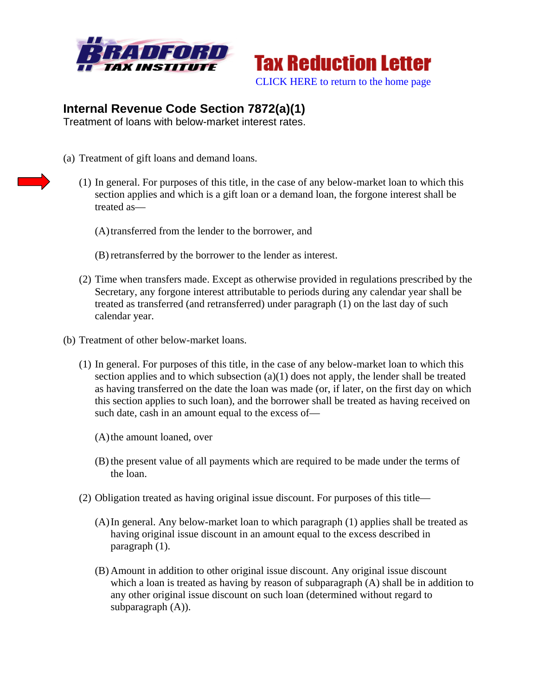



## **Internal Revenue Code Section 7872(a)(1)**

Treatment of loans with below-market interest rates.

- (a) Treatment of gift loans and demand loans.
	- (1) In general. For purposes of this title, in the case of any below-market loan to which this section applies and which is a gift loan or a demand loan, the forgone interest shall be treated as—
		- (A)transferred from the lender to the borrower, and
		- (B) retransferred by the borrower to the lender as interest.
	- (2) Time when transfers made. Except as otherwise provided in regulations prescribed by the Secretary, any forgone interest attributable to periods during any calendar year shall be treated as transferred (and retransferred) under paragraph (1) on the last day of such calendar year.
- (b) Treatment of other below-market loans.
	- (1) In general. For purposes of this title, in the case of any below-market loan to which this section applies and to which subsection  $(a)(1)$  does not apply, the lender shall be treated as having transferred on the date the loan was made (or, if later, on the first day on which this section applies to such loan), and the borrower shall be treated as having received on such date, cash in an amount equal to the excess of—
		- (A)the amount loaned, over
		- (B) the present value of all payments which are required to be made under the terms of the loan.
	- (2) Obligation treated as having original issue discount. For purposes of this title—
		- (A)In general. Any below-market loan to which paragraph (1) applies shall be treated as having original issue discount in an amount equal to the excess described in paragraph (1).
		- (B) Amount in addition to other original issue discount. Any original issue discount which a loan is treated as having by reason of subparagraph (A) shall be in addition to any other original issue discount on such loan (determined without regard to subparagraph  $(A)$ ).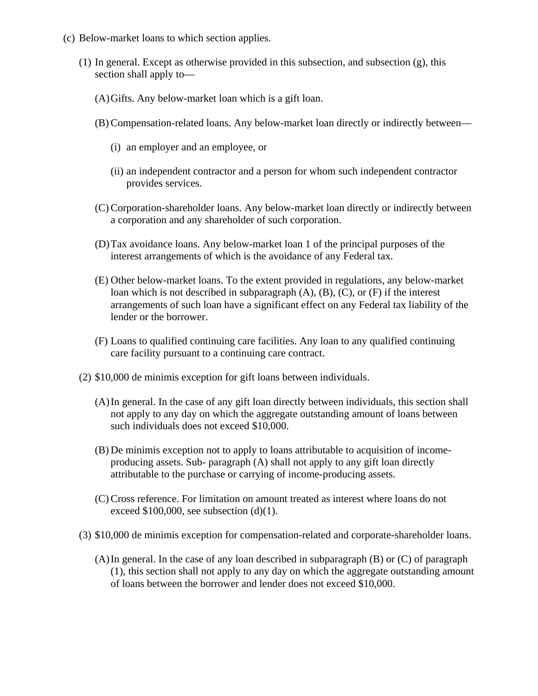- (c) Below-market loans to which section applies.
	- (1) In general. Except as otherwise provided in this subsection, and subsection (g), this section shall apply to—
		- (A)Gifts. Any below-market loan which is a gift loan.
		- (B) Compensation-related loans. Any below-market loan directly or indirectly between—
			- (i) an employer and an employee, or
			- (ii) an independent contractor and a person for whom such independent contractor provides services.
		- (C) Corporation-shareholder loans. Any below-market loan directly or indirectly between a corporation and any shareholder of such corporation.
		- (D)Tax avoidance loans. Any below-market loan 1 of the principal purposes of the interest arrangements of which is the avoidance of any Federal tax.
		- (E) Other below-market loans. To the extent provided in regulations, any below-market loan which is not described in subparagraph (A), (B), (C), or (F) if the interest arrangements of such loan have a significant effect on any Federal tax liability of the lender or the borrower.
		- (F) Loans to qualified continuing care facilities. Any loan to any qualified continuing care facility pursuant to a continuing care contract.
	- (2) \$10,000 de minimis exception for gift loans between individuals.
		- (A)In general. In the case of any gift loan directly between individuals, this section shall not apply to any day on which the aggregate outstanding amount of loans between such individuals does not exceed \$10,000.
		- (B) De minimis exception not to apply to loans attributable to acquisition of incomeproducing assets. Sub- paragraph (A) shall not apply to any gift loan directly attributable to the purchase or carrying of income-producing assets.
		- (C) Cross reference. For limitation on amount treated as interest where loans do not exceed  $$100,000$ , see subsection (d)(1).
	- (3) \$10,000 de minimis exception for compensation-related and corporate-shareholder loans.
		- (A)In general. In the case of any loan described in subparagraph (B) or (C) of paragraph (1), this section shall not apply to any day on which the aggregate outstanding amount of loans between the borrower and lender does not exceed \$10,000.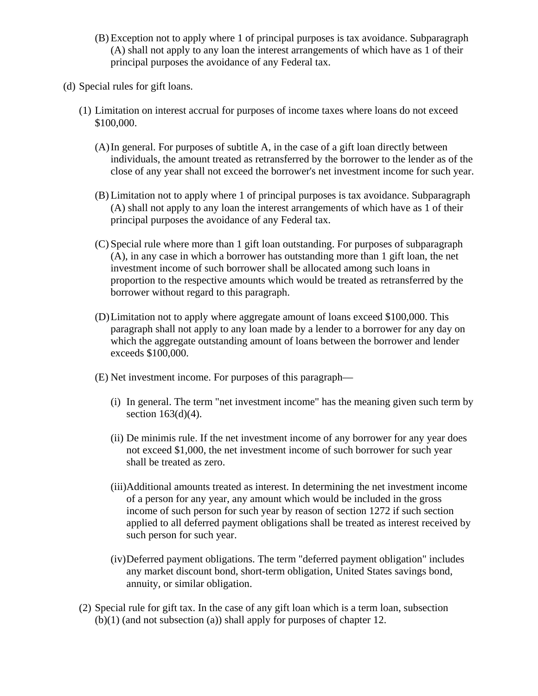- (B) Exception not to apply where 1 of principal purposes is tax avoidance. Subparagraph (A) shall not apply to any loan the interest arrangements of which have as 1 of their principal purposes the avoidance of any Federal tax.
- (d) Special rules for gift loans.
	- (1) Limitation on interest accrual for purposes of income taxes where loans do not exceed \$100,000.
		- (A)In general. For purposes of subtitle A, in the case of a gift loan directly between individuals, the amount treated as retransferred by the borrower to the lender as of the close of any year shall not exceed the borrower's net investment income for such year.
		- (B) Limitation not to apply where 1 of principal purposes is tax avoidance. Subparagraph (A) shall not apply to any loan the interest arrangements of which have as 1 of their principal purposes the avoidance of any Federal tax.
		- (C) Special rule where more than 1 gift loan outstanding. For purposes of subparagraph (A), in any case in which a borrower has outstanding more than 1 gift loan, the net investment income of such borrower shall be allocated among such loans in proportion to the respective amounts which would be treated as retransferred by the borrower without regard to this paragraph.
		- (D)Limitation not to apply where aggregate amount of loans exceed \$100,000. This paragraph shall not apply to any loan made by a lender to a borrower for any day on which the aggregate outstanding amount of loans between the borrower and lender exceeds \$100,000.
		- (E) Net investment income. For purposes of this paragraph—
			- (i) In general. The term "net investment income" has the meaning given such term by section  $163(d)(4)$ .
			- (ii) De minimis rule. If the net investment income of any borrower for any year does not exceed \$1,000, the net investment income of such borrower for such year shall be treated as zero.
			- (iii)Additional amounts treated as interest. In determining the net investment income of a person for any year, any amount which would be included in the gross income of such person for such year by reason of section 1272 if such section applied to all deferred payment obligations shall be treated as interest received by such person for such year.
			- (iv)Deferred payment obligations. The term "deferred payment obligation" includes any market discount bond, short-term obligation, United States savings bond, annuity, or similar obligation.
	- (2) Special rule for gift tax. In the case of any gift loan which is a term loan, subsection (b)(1) (and not subsection (a)) shall apply for purposes of chapter 12.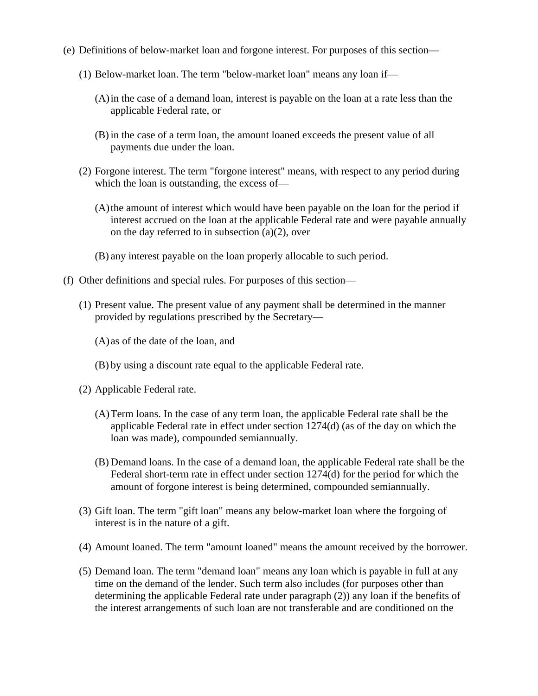- (e) Definitions of below-market loan and forgone interest. For purposes of this section—
	- (1) Below-market loan. The term "below-market loan" means any loan if—
		- (A)in the case of a demand loan, interest is payable on the loan at a rate less than the applicable Federal rate, or
		- (B) in the case of a term loan, the amount loaned exceeds the present value of all payments due under the loan.
	- (2) Forgone interest. The term "forgone interest" means, with respect to any period during which the loan is outstanding, the excess of—
		- (A)the amount of interest which would have been payable on the loan for the period if interest accrued on the loan at the applicable Federal rate and were payable annually on the day referred to in subsection  $(a)(2)$ , over
		- (B) any interest payable on the loan properly allocable to such period.
- (f) Other definitions and special rules. For purposes of this section—
	- (1) Present value. The present value of any payment shall be determined in the manner provided by regulations prescribed by the Secretary—
		- (A) as of the date of the loan, and
		- (B) by using a discount rate equal to the applicable Federal rate.
	- (2) Applicable Federal rate.
		- (A)Term loans. In the case of any term loan, the applicable Federal rate shall be the applicable Federal rate in effect under section 1274(d) (as of the day on which the loan was made), compounded semiannually.
		- (B) Demand loans. In the case of a demand loan, the applicable Federal rate shall be the Federal short-term rate in effect under section 1274(d) for the period for which the amount of forgone interest is being determined, compounded semiannually.
	- (3) Gift loan. The term "gift loan" means any below-market loan where the forgoing of interest is in the nature of a gift.
	- (4) Amount loaned. The term "amount loaned" means the amount received by the borrower.
	- (5) Demand loan. The term "demand loan" means any loan which is payable in full at any time on the demand of the lender. Such term also includes (for purposes other than determining the applicable Federal rate under paragraph (2)) any loan if the benefits of the interest arrangements of such loan are not transferable and are conditioned on the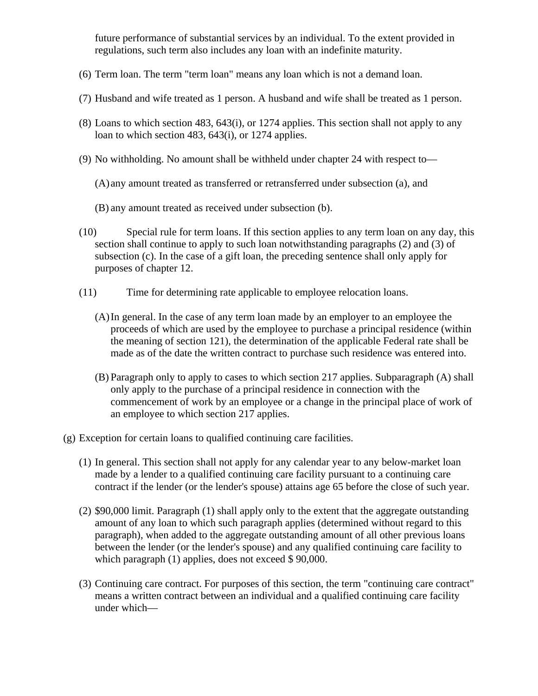future performance of substantial services by an individual. To the extent provided in regulations, such term also includes any loan with an indefinite maturity.

- (6) Term loan. The term "term loan" means any loan which is not a demand loan.
- (7) Husband and wife treated as 1 person. A husband and wife shall be treated as 1 person.
- (8) Loans to which section 483, 643(i), or 1274 applies. This section shall not apply to any loan to which section 483, 643(i), or 1274 applies.
- (9) No withholding. No amount shall be withheld under chapter 24 with respect to—
	- (A) any amount treated as transferred or retransferred under subsection (a), and
	- (B) any amount treated as received under subsection (b).
- (10) Special rule for term loans. If this section applies to any term loan on any day, this section shall continue to apply to such loan notwithstanding paragraphs (2) and (3) of subsection (c). In the case of a gift loan, the preceding sentence shall only apply for purposes of chapter 12.
- (11) Time for determining rate applicable to employee relocation loans.
	- (A)In general. In the case of any term loan made by an employer to an employee the proceeds of which are used by the employee to purchase a principal residence (within the meaning of section 121), the determination of the applicable Federal rate shall be made as of the date the written contract to purchase such residence was entered into.
	- (B) Paragraph only to apply to cases to which section 217 applies. Subparagraph (A) shall only apply to the purchase of a principal residence in connection with the commencement of work by an employee or a change in the principal place of work of an employee to which section 217 applies.
- (g) Exception for certain loans to qualified continuing care facilities.
	- (1) In general. This section shall not apply for any calendar year to any below-market loan made by a lender to a qualified continuing care facility pursuant to a continuing care contract if the lender (or the lender's spouse) attains age 65 before the close of such year.
	- (2) \$90,000 limit. Paragraph (1) shall apply only to the extent that the aggregate outstanding amount of any loan to which such paragraph applies (determined without regard to this paragraph), when added to the aggregate outstanding amount of all other previous loans between the lender (or the lender's spouse) and any qualified continuing care facility to which paragraph (1) applies, does not exceed \$90,000.
	- (3) Continuing care contract. For purposes of this section, the term "continuing care contract" means a written contract between an individual and a qualified continuing care facility under which—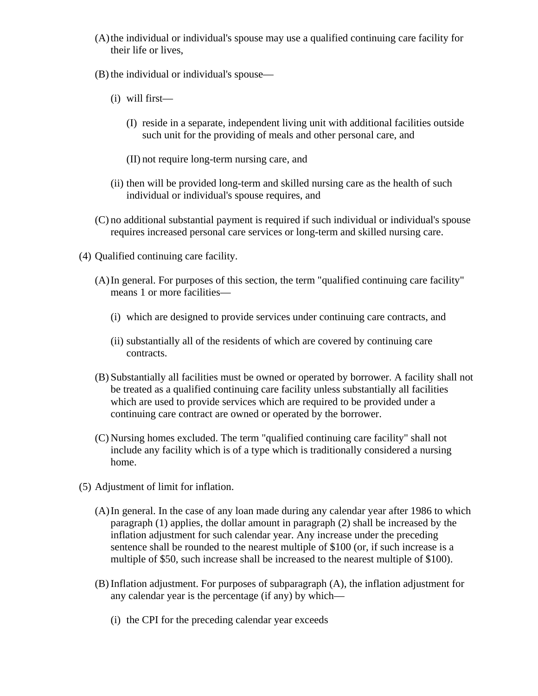- (A)the individual or individual's spouse may use a qualified continuing care facility for their life or lives,
- (B) the individual or individual's spouse—
	- (i) will first—
		- (I) reside in a separate, independent living unit with additional facilities outside such unit for the providing of meals and other personal care, and
		- (II) not require long-term nursing care, and
	- (ii) then will be provided long-term and skilled nursing care as the health of such individual or individual's spouse requires, and
- (C) no additional substantial payment is required if such individual or individual's spouse requires increased personal care services or long-term and skilled nursing care.
- (4) Qualified continuing care facility.
	- (A)In general. For purposes of this section, the term "qualified continuing care facility" means 1 or more facilities—
		- (i) which are designed to provide services under continuing care contracts, and
		- (ii) substantially all of the residents of which are covered by continuing care contracts.
	- (B) Substantially all facilities must be owned or operated by borrower. A facility shall not be treated as a qualified continuing care facility unless substantially all facilities which are used to provide services which are required to be provided under a continuing care contract are owned or operated by the borrower.
	- (C) Nursing homes excluded. The term "qualified continuing care facility" shall not include any facility which is of a type which is traditionally considered a nursing home.
- (5) Adjustment of limit for inflation.
	- (A)In general. In the case of any loan made during any calendar year after 1986 to which paragraph (1) applies, the dollar amount in paragraph (2) shall be increased by the inflation adjustment for such calendar year. Any increase under the preceding sentence shall be rounded to the nearest multiple of \$100 (or, if such increase is a multiple of \$50, such increase shall be increased to the nearest multiple of \$100).
	- (B) Inflation adjustment. For purposes of subparagraph (A), the inflation adjustment for any calendar year is the percentage (if any) by which—
		- (i) the CPI for the preceding calendar year exceeds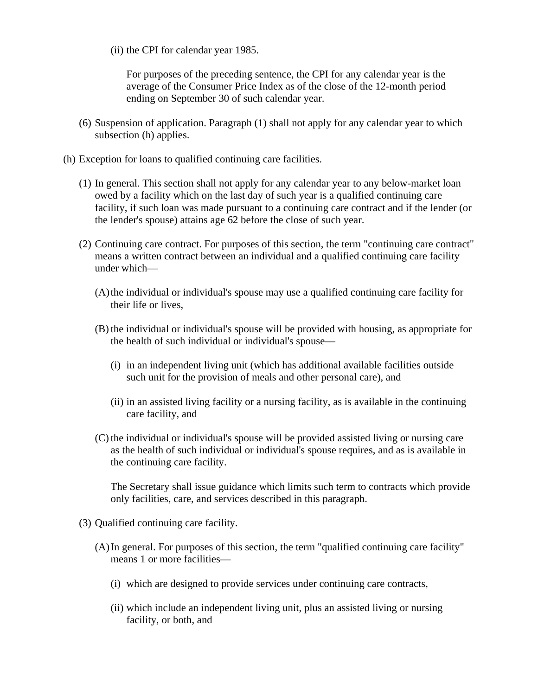(ii) the CPI for calendar year 1985.

For purposes of the preceding sentence, the CPI for any calendar year is the average of the Consumer Price Index as of the close of the 12-month period ending on September 30 of such calendar year.

- (6) Suspension of application. Paragraph (1) shall not apply for any calendar year to which subsection (h) applies.
- (h) Exception for loans to qualified continuing care facilities.
	- (1) In general. This section shall not apply for any calendar year to any below-market loan owed by a facility which on the last day of such year is a qualified continuing care facility, if such loan was made pursuant to a continuing care contract and if the lender (or the lender's spouse) attains age 62 before the close of such year.
	- (2) Continuing care contract. For purposes of this section, the term "continuing care contract" means a written contract between an individual and a qualified continuing care facility under which—
		- (A)the individual or individual's spouse may use a qualified continuing care facility for their life or lives,
		- (B) the individual or individual's spouse will be provided with housing, as appropriate for the health of such individual or individual's spouse—
			- (i) in an independent living unit (which has additional available facilities outside such unit for the provision of meals and other personal care), and
			- (ii) in an assisted living facility or a nursing facility, as is available in the continuing care facility, and
		- (C) the individual or individual's spouse will be provided assisted living or nursing care as the health of such individual or individual's spouse requires, and as is available in the continuing care facility.

The Secretary shall issue guidance which limits such term to contracts which provide only facilities, care, and services described in this paragraph.

- (3) Qualified continuing care facility.
	- (A)In general. For purposes of this section, the term "qualified continuing care facility" means 1 or more facilities—
		- (i) which are designed to provide services under continuing care contracts,
		- (ii) which include an independent living unit, plus an assisted living or nursing facility, or both, and